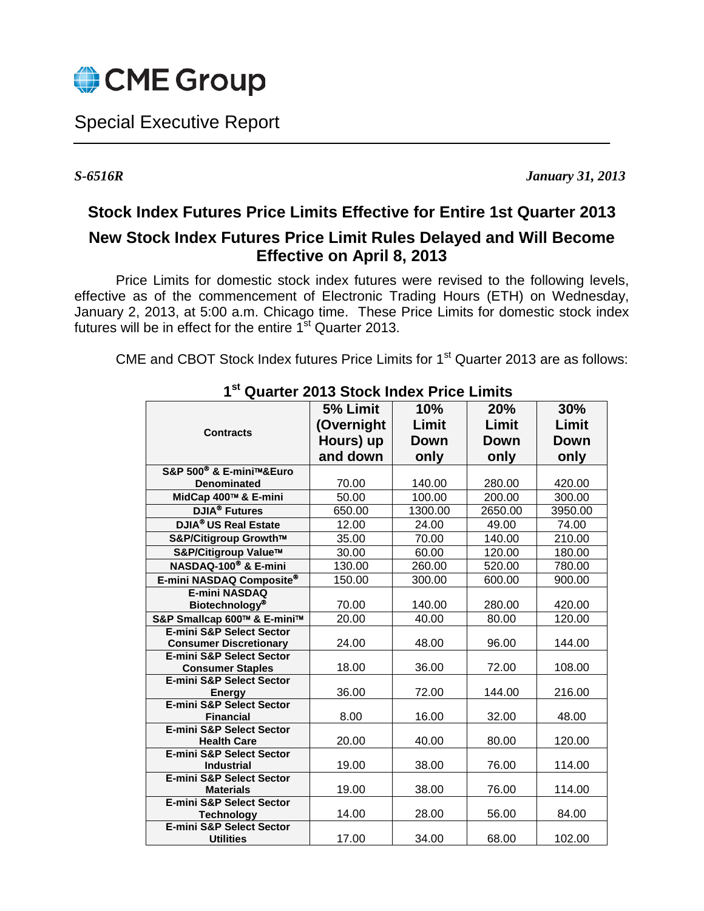

Special Executive Report

 $\overline{a}$ 

*S-6516R January 31, 2013*

## **Stock Index Futures Price Limits Effective for Entire 1st Quarter 2013**

## **New Stock Index Futures Price Limit Rules Delayed and Will Become Effective on April 8, 2013**

Price Limits for domestic stock index futures were revised to the following levels, effective as of the commencement of Electronic Trading Hours (ETH) on Wednesday, January 2, 2013, at 5:00 a.m. Chicago time. These Price Limits for domestic stock index futures will be in effect for the entire 1<sup>st</sup> Quarter 2013.

CME and CBOT Stock Index futures Price Limits for 1<sup>st</sup> Quarter 2013 are as follows:

|                                               | 5% Limit   | 10%     | 20%         | 30%     |
|-----------------------------------------------|------------|---------|-------------|---------|
| <b>Contracts</b>                              |            |         |             | Limit   |
|                                               | (Overnight | Limit   | Limit       |         |
|                                               | Hours) up  | Down    | <b>Down</b> | Down    |
|                                               | and down   | only    | only        | only    |
| S&P 500 <sup>®</sup> & E-mini™&Euro           |            |         |             |         |
| <b>Denominated</b>                            | 70.00      | 140.00  | 280.00      | 420.00  |
| MidCap 400™ & E-mini                          | 50.00      | 100.00  | 200.00      | 300.00  |
| <b>DJIA<sup>®</sup></b> Futures               | 650.00     | 1300.00 | 2650.00     | 3950.00 |
| <b>DJIA® US Real Estate</b>                   | 12.00      | 24.00   | 49.00       | 74.00   |
| S&P/Citigroup Growth™                         | 35.00      | 70.00   | 140.00      | 210.00  |
| S&P/Citigroup Value™                          | 30.00      | 60.00   | 120.00      | 180.00  |
| NASDAQ-100 <sup>®</sup> & E-mini              | 130.00     | 260.00  | 520.00      | 780.00  |
| E-mini NASDAQ Composite®                      | 150.00     | 300.00  | 600.00      | 900.00  |
| <b>E-mini NASDAQ</b>                          |            |         |             |         |
| <b>Biotechnology®</b>                         | 70.00      | 140.00  | 280.00      | 420.00  |
| S&P Smallcap 600™ & E-mini™                   | 20.00      | 40.00   | 80.00       | 120.00  |
| <b>E-mini S&amp;P Select Sector</b>           |            |         |             |         |
| <b>Consumer Discretionary</b>                 | 24.00      | 48.00   | 96.00       | 144.00  |
| <b>E-mini S&amp;P Select Sector</b>           |            |         |             |         |
| <b>Consumer Staples</b>                       | 18.00      | 36.00   | 72.00       | 108.00  |
| E-mini S&P Select Sector                      |            |         |             |         |
| Energy<br><b>E-mini S&amp;P Select Sector</b> | 36.00      | 72.00   | 144.00      | 216.00  |
| <b>Financial</b>                              | 8.00       | 16.00   | 32.00       | 48.00   |
| <b>E-mini S&amp;P Select Sector</b>           |            |         |             |         |
| <b>Health Care</b>                            | 20.00      | 40.00   | 80.00       | 120.00  |
| <b>E-mini S&amp;P Select Sector</b>           |            |         |             |         |
| <b>Industrial</b>                             | 19.00      | 38.00   | 76.00       | 114.00  |
| <b>E-mini S&amp;P Select Sector</b>           |            |         |             |         |
| <b>Materials</b>                              | 19.00      | 38.00   | 76.00       | 114.00  |
| <b>E-mini S&amp;P Select Sector</b>           |            |         |             |         |
| <b>Technology</b>                             | 14.00      | 28.00   | 56.00       | 84.00   |
| <b>E-mini S&amp;P Select Sector</b>           | 17.00      |         |             |         |
| <b>Utilities</b>                              |            | 34.00   | 68.00       | 102.00  |

 **1st Quarter 2013 Stock Index Price Limits**